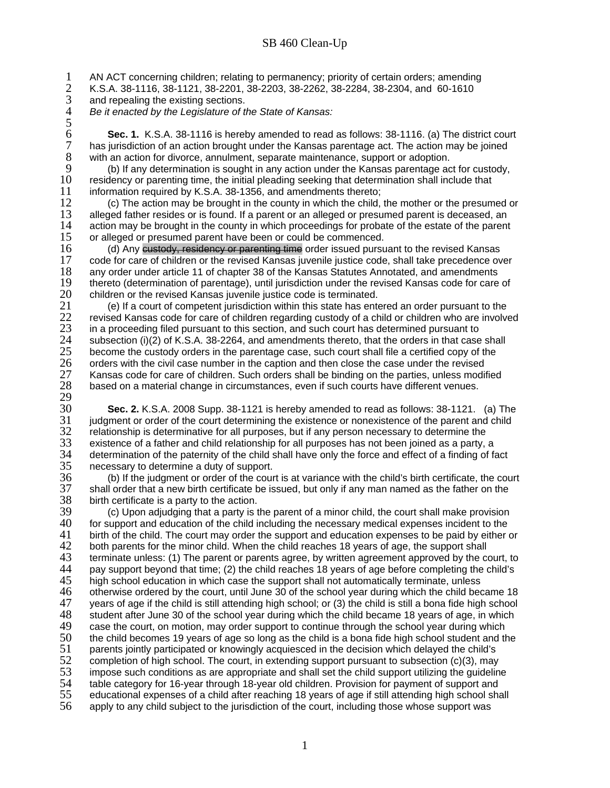1 AN ACT concerning children; relating to permanency; priority of certain orders; amending 2 K.S.A. 38-1116, 38-1121, 38-2201, 38-2203, 38-2262, 38-2284, 38-2304, and 60-1610

2 K.S.A. 38-1116, 38-1121, 38-2201, 38-2203, 38-2262, 38-2284, 38-2304, and 60-1610

- 3 and repealing the existing sections.<br>4 Be it enacted by the Legislature of times
- 4 *Be it enacted by the Legislature of the State of Kansas:*   $\begin{array}{c} 5 \\ 6 \\ 7 \end{array}$

6 **Sec. 1.** K.S.A. 38-1116 is hereby amended to read as follows: 38-1116. (a) The district court 7 has jurisdiction of an action brought under the Kansas parentage act. The action may be joined<br>8 with an action for divorce, annulment, separate maintenance, support or adoption. 8 with an action for divorce, annulment, separate maintenance, support or adoption.<br>9 (b) If any determination is sought in any action under the Kansas parentage ac

 $9$  (b) If any determination is sought in any action under the Kansas parentage act for custody,  $10$  residency or parenting time, the initial pleading seeking that determination shall include that 10 residency or parenting time, the initial pleading seeking that determination shall include that 11 information required by K.S.A. 38-1356, and amendments thereto: 11 information required by K.S.A. 38-1356, and amendments thereto;<br>12 (c) The action may be brought in the county in which the child.

12 (c) The action may be brought in the county in which the child, the mother or the presumed or 13 alleged father resides or is found. If a parent or an alleged or presumed parent is deceased, an 13 alleged father resides or is found. If a parent or an alleged or presumed parent is deceased, an 14 action may be brought in the county in which proceedings for probate of the estate of the parent 14 action may be brought in the county in which proceedings for probate of the estate of the parent 15 or alleged or presumed parent have been or could be commenced. 15 or alleged or presumed parent have been or could be commenced.<br>16 (d) Any custody, residency or parenting time order issued pursu

(d) Any custody, residency or parenting time order issued pursuant to the revised Kansas<br>17 code for care of children or the revised Kansas juvenile justice code, shall take precedence ov 17 code for care of children or the revised Kansas juvenile justice code, shall take precedence over 18 any order under article 11 of chapter 38 of the Kansas Statutes Annotated, and amendments 18 any order under article 11 of chapter 38 of the Kansas Statutes Annotated, and amendments<br>19 thereto (determination of parentage), until jurisdiction under the revised Kansas code for care 19 thereto (determination of parentage), until jurisdiction under the revised Kansas code for care of 20<br>20 children or the revised Kansas juvenile justice code is terminated. 20 children or the revised Kansas juvenile justice code is terminated.<br>21 (e) If a court of competent jurisdiction within this state has enter-

21 (e) If a court of competent jurisdiction within this state has entered an order pursuant to the<br>22 revised Kansas code for care of children regarding custody of a child or children who are involve 22 revised Kansas code for care of children regarding custody of a child or children who are involved  $23$  in a proceeding filed pursuant to this section, and such court has determined pursuant to 23 in a proceeding filed pursuant to this section, and such court has determined pursuant to 24 subsection (i)(2) of K.S.A. 38-2264, and amendments thereto, that the orders in that case 24 subsection (i)(2) of K.S.A. 38-2264, and amendments thereto, that the orders in that case shall  $25$  become the custody orders in the parentage case, such court shall file a certified copy of the 25 become the custody orders in the parentage case, such court shall file a certified copy of the 26 orders with the civil case number in the caption and then close the case under the revised 26 orders with the civil case number in the caption and then close the case under the revised<br>27 Kansas code for care of children. Such orders shall be binding on the parties, unless modif 27 Kansas code for care of children. Such orders shall be binding on the parties, unless modified<br>28 based on a material change in circumstances, even if such courts have different venues. based on a material change in circumstances, even if such courts have different venues.

 $\frac{29}{30}$ 

30 **Sec. 2.** K.S.A. 2008 Supp. 38-1121 is hereby amended to read as follows: 38-1121. (a) The 31 judgment or order of the court determining the existence or nonexistence of the parent and child<br>32 relationship is determinative for all purposes, but if any person necessary to determine the 32 relationship is determinative for all purposes, but if any person necessary to determine the<br>33 existence of a father and child relationship for all purposes has not been joined as a party, 33 existence of a father and child relationship for all purposes has not been joined as a party, a<br>34 determination of the paternity of the child shall have only the force and effect of a finding of fa 34 determination of the paternity of the child shall have only the force and effect of a finding of fact 35 necessary to determine a duty of support. 35 necessary to determine a duty of support.<br>36 (b) If the judament or order of the cour

36 (b) If the judgment or order of the court is at variance with the child's birth certificate, the court  $37$  shall order that a new birth certificate be issued, but only if any man named as the father on the  $38$  birth certificate is a party to the action.  $38$  birth certificate is a party to the action.<br> $39$  (c) Upon adjudging that a party is t

39 (c) Upon adjudging that a party is the parent of a minor child, the court shall make provision<br>40 for support and education of the child including the necessary medical expenses incident to the 40 for support and education of the child including the necessary medical expenses incident to the 41 birth of the child. The court may order the support and education expenses to be paid by either 41 birth of the child. The court may order the support and education expenses to be paid by either or 42 both parents for the minor child. When the child reaches 18 years of age, the support shall 42 both parents for the minor child. When the child reaches 18 years of age, the support shall<br>43 terminate unless: (1) The parent or parents agree, by written agreement approved by the co 43 terminate unless: (1) The parent or parents agree, by written agreement approved by the court, to 44 pay support beyond that time; (2) the child reaches 18 years of age before completing the child's 44 pay support beyond that time; (2) the child reaches 18 years of age before completing the child's 45 high school education in which case the support shall not automatically terminate, unless 45 high school education in which case the support shall not automatically terminate, unless<br>46 otherwise ordered by the court, until June 30 of the school year during which the child beo 46 otherwise ordered by the court, until June 30 of the school year during which the child became 18<br>47 vears of age if the child is still attending high school; or (3) the child is still a bona fide high school 47 years of age if the child is still attending high school; or (3) the child is still a bona fide high school<br>48 student after June 30 of the school vear during which the child became 18 years of age, in which 48 student after June 30 of the school year during which the child became 18 years of age, in which<br>49 case the court, on motion, may order support to continue through the school year during which 49 case the court, on motion, may order support to continue through the school year during which<br>50 the child becomes 19 years of age so long as the child is a bona fide high school student and th the child becomes 19 years of age so long as the child is a bona fide high school student and the 51 parents jointly participated or knowingly acquiesced in the decision which delayed the child's<br>52 completion of high school. The court, in extending support pursuant to subsection (c)(3), may 52 completion of high school. The court, in extending support pursuant to subsection (c)(3), may<br>53 impose such conditions as are appropriate and shall set the child support utilizing the guidelin 53 impose such conditions as are appropriate and shall set the child support utilizing the guideline<br>54 table category for 16-year through 18-year old children. Provision for payment of support and 54 table category for 16-year through 18-year old children. Provision for payment of support and<br>55 educational expenses of a child after reaching 18 years of age if still attending high school sha 55 educational expenses of a child after reaching 18 years of age if still attending high school shall 56 apply to any child subject to the jurisdiction of the court, including those whose support was apply to any child subject to the jurisdiction of the court, including those whose support was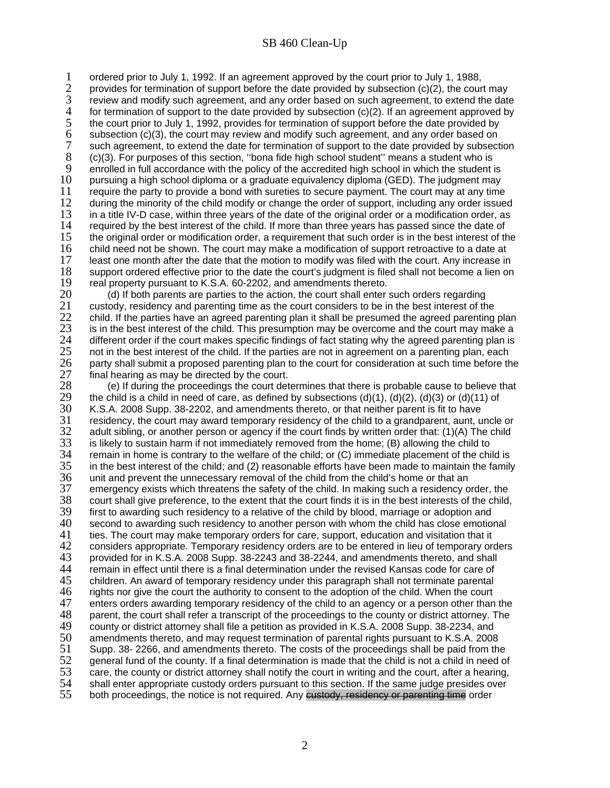1 ordered prior to July 1, 1992. If an agreement approved by the court prior to July 1, 1988,<br>2 provides for termination of support before the date provided by subsection (c)(2), the cour

2 provides for termination of support before the date provided by subsection  $(c)(2)$ , the court may <br>3 review and modify such agreement, and any order based on such agreement, to extend the date

 $3$  review and modify such agreement, and any order based on such agreement, to extend the date<br>4 for termination of support to the date provided by subsection  $(c)(2)$ . If an agreement approved by

4 for termination of support to the date provided by subsection  $(c)(2)$ . If an agreement approved by the court prior to July 1, 1992, provides for termination of support before the date provided by the court prior to July 1, 1992, provides for termination of support before the date provided by

 $6$  subsection (c)(3), the court may review and modify such agreement, and any order based on  $7$  such agreement, to extend the date for termination of support to the date provided by subsect

7 such agreement, to extend the date for termination of support to the date provided by subsection  $(0)(3)$ . For purposes of this section, "bona fide high school student" means a student who is  $8$  (c)(3). For purposes of this section, "bona fide high school student" means a student who is enrolled in full accordance with the policy of the accredited high school in which the student i 9 enrolled in full accordance with the policy of the accredited high school in which the student is <br>10 pursuing a high school diploma or a graduate equivalency diploma (GED). The judgment may 10 pursuing a high school diploma or a graduate equivalency diploma (GED). The judgment may<br>11 Fequire the party to provide a bond with sureties to secure payment. The court may at any time 11 require the party to provide a bond with sureties to secure payment. The court may at any time<br>12 during the minority of the child modify or change the order of support, including any order issue 12 during the minority of the child modify or change the order of support, including any order issued<br>13 in a title IV-D case, within three years of the date of the original order or a modification order, as 13 in a title IV-D case, within three years of the date of the original order or a modification order, as 14 required by the best interest of the child. If more than three years has passed since the date of 14 required by the best interest of the child. If more than three years has passed since the date of the state of the state of the original order or modification order, a requirement that such order is in the best interest 15 the original order or modification order, a requirement that such order is in the best interest of the 16 child need not be shown. The court may make a modification of support retroactive to a date at 16 child need not be shown. The court may make a modification of support retroactive to a date at 17 least one month after the date that the motion to modify was filed with the court. Any increase in 17 least one month after the date that the motion to modify was filed with the court. Any increase in 18 support ordered effective prior to the date the court's judgment is filed shall not become a lien on

18 support ordered effective prior to the date the court's judgment is filed shall not become a lien on 19 real property pursuant to K.S.A. 60-2202, and amendments thereto.

19 real property pursuant to K.S.A. 60-2202, and amendments thereto.<br>20 (d) If both parents are parties to the action, the court shall enter 20 (d) If both parents are parties to the action, the court shall enter such orders regarding<br>21 custody, residency and parenting time as the court considers to be in the best interest of th 21 custody, residency and parenting time as the court considers to be in the best interest of the<br>22 child. If the parties have an agreed parenting plan it shall be presumed the agreed parenting 22 child. If the parties have an agreed parenting plan it shall be presumed the agreed parenting plan  $23$  is in the best interest of the child. This presumption may be overcome and the court may make a 23 is in the best interest of the child. This presumption may be overcome and the court may make a<br>24 different order if the court makes specific findings of fact stating why the agreed parenting plan is 24 different order if the court makes specific findings of fact stating why the agreed parenting plan is<br>25 on tin the best interest of the child. If the parties are not in agreement on a parenting plan, each 25 not in the best interest of the child. If the parties are not in agreement on a parenting plan, each <br>26 party shall submit a proposed parenting plan to the court for consideration at such time before th 26 party shall submit a proposed parenting plan to the court for consideration at such time before the 27 final hearing as may be directed by the court.

27 final hearing as may be directed by the court.<br>28 (e) If during the proceedings the court det 28 (e) If during the proceedings the court determines that there is probable cause to believe that  $29$  the child is a child in need of care, as defined by subsections (d)(1), (d)(2), (d)(3) or (d)(11) of 29 the child is a child in need of care, as defined by subsections  $(d)(1)$ ,  $(d)(2)$ ,  $(d)(3)$  or  $(d)(11)$  of 30 K.S.A. 2008 Supp. 38-2202, and amendments thereto, or that neither parent is fit to have 30 K.S.A. 2008 Supp. 38-2202, and amendments thereto, or that neither parent is fit to have 31 residency, the court may award temporary residency of the child to a grandparent, aunt, uncle or  $32$  adult sibling, or another person or agency if the court finds by written order that: (1)(A) The child 32 adult sibling, or another person or agency if the court finds by written order that: (1)(A) The child<br>33 is likely to sustain harm if not immediately removed from the home; (B) allowing the child to 33 is likely to sustain harm if not immediately removed from the home; (B) allowing the child to 34 remain in home is contrary to the welfare of the child; or (C) immediate placement of the chi 34 remain in home is contrary to the welfare of the child; or (C) immediate placement of the child is<br>35 in the best interest of the child; and (2) reasonable efforts have been made to maintain the family  $35$  in the best interest of the child; and (2) reasonable efforts have been made to maintain the family  $36$  unit and prevent the unnecessary removal of the child from the child's home or that an 36 unit and prevent the unnecessary removal of the child from the child's home or that an<br>37 emergency exists which threatens the safety of the child. In making such a residency o 37 emergency exists which threatens the safety of the child. In making such a residency order, the 38 court shall give preference, to the extent that the court finds it is in the best interests of the child. 38 court shall give preference, to the extent that the court finds it is in the best interests of the child,<br>39 first to awarding such residency to a relative of the child by blood, marriage or adoption and 39 first to awarding such residency to a relative of the child by blood, marriage or adoption and 40 second to awarding such residency to another person with whom the child has close emotional 41 ties. The court may make temporary orders for care, support, education and visitation that it 41 ties. The court may make temporary orders for care, support, education and visitation that it 42 considers appropriate. Temporary residency orders are to be entered in lieu of temporary orders<br>43 provided for in K.S.A. 2008 Supp. 38-2243 and 38-2244, and amendments thereto, and shall 43 provided for in K.S.A. 2008 Supp. 38-2243 and 38-2244, and amendments thereto, and shall<br>44 remain in effect until there is a final determination under the revised Kansas code for care of 44 remain in effect until there is a final determination under the revised Kansas code for care of 45 children. An award of temporary residency under this paragraph shall not terminate parental 45 children. An award of temporary residency under this paragraph shall not terminate parental<br>46 rights nor give the court the authority to consent to the adoption of the child. When the court 46 rights nor give the court the authority to consent to the adoption of the child. When the court 47 enters orders awarding temporary residency of the child to an agency or a person other than 47 enters orders awarding temporary residency of the child to an agency or a person other than the 48 and the court shall refer a transcript of the proceedings to the county or district attorney. The 48 parent, the court shall refer a transcript of the proceedings to the county or district attorney. The 49 county or district attorney shall file a petition as provided in K.S.A. 2008 Supp. 38-2234. and 49 county or district attorney shall file a petition as provided in K.S.A. 2008 Supp. 38-2234, and<br>50 amendments thereto, and may request termination of parental rights pursuant to K.S.A. 2008 50 amendments thereto, and may request termination of parental rights pursuant to K.S.A. 2008 51 Supp. 38- 2266, and amendments thereto. The costs of the proceedings shall be paid from the 52 general fund of the county. If a final determination is made that the child is not a child in need of 53 care, the county or district attorney shall notify the court in writing and the court, after a hearing, 53 care, the county or district attorney shall notify the court in writing and the court, after a hearing,<br>54 shall enter appropriate custody orders pursuant to this section. If the same judge presides over 54 shall enter appropriate custody orders pursuant to this section. If the same judge presides over<br>55 both proceedings, the notice is not required. Any custody, residency or parenting time order both proceedings, the notice is not required. Any custody, residency or parenting time order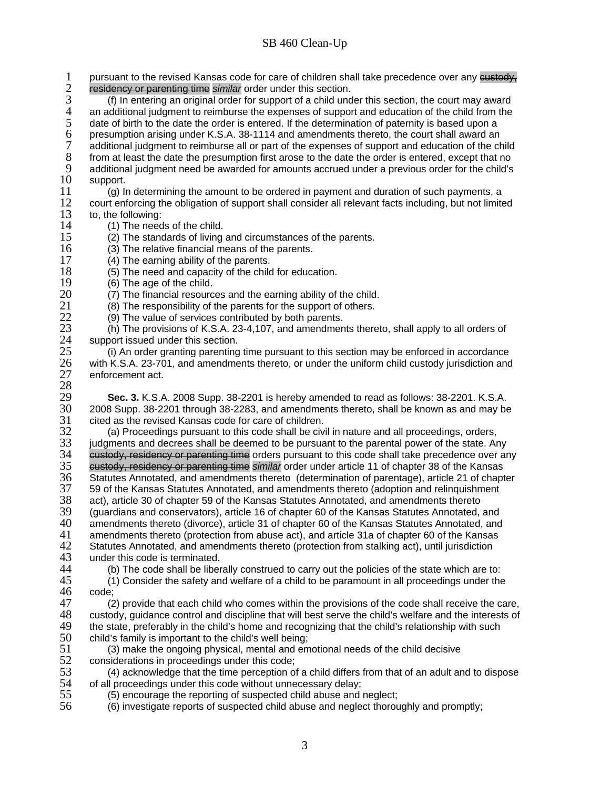1 pursuant to the revised Kansas code for care of children shall take precedence over any eustody,<br>2 residency or parenting time similar order under this section. 2 residency or parenting time *similar* order under this section. 3 (f) In entering an original order for support of a child under this section, the court may award 4 an additional judgment to reimburse the expenses of support and education of the child from the 45 date of birth to the date the order is entered. If the determination of paternity is based upon a date of birth to the date the order is entered. If the determination of paternity is based upon a 6 presumption arising under K.S.A. 38-1114 and amendments thereto, the court shall award an 7 additional judgment to reimburse all or part of the expenses of support and education of the child<br>8 from at least the date the presumption first arose to the date the order is entered, except that no from at least the date the presumption first arose to the date the order is entered, except that no 9 additional judgment need be awarded for amounts accrued under a previous order for the child's <br>10 support.  $\begin{array}{cc} 10 & \text{support.} \\ 11 & \text{(g) In} \end{array}$ 11 (g) In determining the amount to be ordered in payment and duration of such payments, a<br>12 court enforcing the obligation of support shall consider all relevant facts including, but not limite 12 court enforcing the obligation of support shall consider all relevant facts including, but not limited 13 to, the following:

- 13 to, the following:<br>14 (1) The need
- 14 (1) The needs of the child.<br>15 (2) The standards of living
- 15 (2) The standards of living and circumstances of the parents.<br>16 (3) The relative financial means of the parents.
- 16 (3) The relative financial means of the parents.<br>17 (4) The earning ability of the parents.
- 17 (4) The earning ability of the parents.<br>18 (5) The need and capacity of the child
- 18 (5) The need and capacity of the child for education.<br>19 (6) The age of the child.
- 19 (6) The age of the child.<br>20 (7) The financial resourc
- 20 (7) The financial resources and the earning ability of the child.<br>21 (8) The responsibility of the parents for the support of others.
- 21 (8) The responsibility of the parents for the support of others.<br>22 (9) The value of services contributed by both parents.
	-
- 22 (9) The value of services contributed by both parents.<br>23 (h) The provisions of K.S.A. 23-4,107, and amendmen 23 (h) The provisions of K.S.A. 23-4,107, and amendments thereto, shall apply to all orders of 24 support issued under this section. 24 support issued under this section.<br>25 (i) An order granting parenting
- <sup>25</sup> (i) An order granting parenting time pursuant to this section may be enforced in accordance<br>26 with K.S.A. 23-701, and amendments thereto, or under the uniform child custody jurisdiction and 26 with K.S.A. 23-701, and amendments thereto, or under the uniform child custody jurisdiction and enforcement act.
- 28 29 **Sec. 3.** K.S.A. 2008 Supp. 38-2201 is hereby amended to read as follows: 38-2201. K.S.A. 30 2008 Supp. 38-2201 through 38-2283, and amendments thereto, shall be known as and may be 31 cited as the revised Kansas code for care of children.<br>32 (a) Proceedings pursuant to this code shall be civ
- 32 (a) Proceedings pursuant to this code shall be civil in nature and all proceedings, orders,<br>33 judgments and decrees shall be deemed to be pursuant to the parental power of the state. Are 33 judgments and decrees shall be deemed to be pursuant to the parental power of the state. Any<br>34 **Eustody, residency or parenting time** orders pursuant to this code shall take precedence over are 34 custody, residency or parenting time orders pursuant to this code shall take precedence over any<br>35 eustody, residency or parenting time similar order under article 11 of chapter 38 of the Kansas 35 custody, residency or parenting time *similar* order under article 11 of chapter 38 of the Kansas 36 Statutes Annotated, and amendments thereto (determination of parentage), article 21 of chapter 37 59 of the Kansas Statutes Annotated, and amendments thereto (adoption and relinquishment<br>38 act), article 30 of chapter 59 of the Kansas Statutes Annotated, and amendments thereto 38 act), article 30 of chapter 59 of the Kansas Statutes Annotated, and amendments thereto 39 (guardians and conservators), article 16 of chapter 60 of the Kansas Statutes Annotated, and 40 amendments thereto (divorce), article 31 of chapter 60 of the Kansas Statutes Annotated, and<br>41 amendments thereto (protection from abuse act), and article 31a of chapter 60 of the Kansas 41 amendments thereto (protection from abuse act), and article 31a of chapter 60 of the Kansas 42 Statutes Annotated, and amendments thereto (protection from stalking act), until jurisdiction<br>43 under this code is terminated. 43 under this code is terminated.<br>44 (b) The code shall be liber
- 44 (b) The code shall be liberally construed to carry out the policies of the state which are to:<br>45 (1) Consider the safety and welfare of a child to be paramount in all proceedings under the
- 45 (1) Consider the safety and welfare of a child to be paramount in all proceedings under the
- 46 code;<br>47 (2 47 (2) provide that each child who comes within the provisions of the code shall receive the care,<br>48 custody, quidance control and discipline that will best serve the child's welfare and the interests of 48 custody, guidance control and discipline that will best serve the child's welfare and the interests of 49 the state. preferably in the child's home and recognizing that the child's relationship with such 49 the state, preferably in the child's home and recognizing that the child's relationship with such<br>50 child's family is important to the child's well being: 50 child's family is important to the child's well being;
- 51 (3) make the ongoing physical, mental and emotional needs of the child decisive<br>52 considerations in proceedings under this code; 52 considerations in proceedings under this code;<br>53 (4) acknowledge that the time perception of
- 53 (4) acknowledge that the time perception of a child differs from that of an adult and to dispose<br>54 of all proceedings under this code without unnecessary delay; 54 of all proceedings under this code without unnecessary delay;<br>55 (5) encourage the reporting of suspected child abuse and
- 55 (5) encourage the reporting of suspected child abuse and neglect;<br>56 (6) investigate reports of suspected child abuse and neglect thorou
- 56 (6) investigate reports of suspected child abuse and neglect thoroughly and promptly;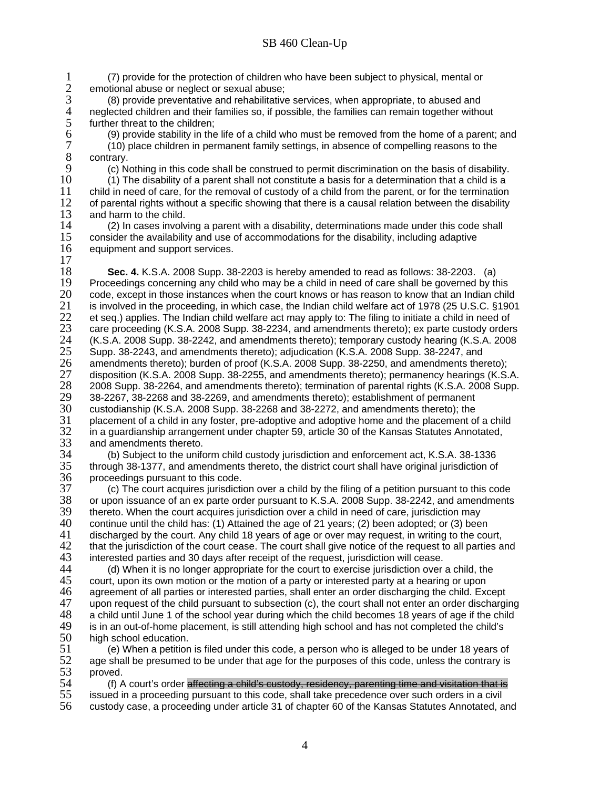1 (7) provide for the protection of children who have been subject to physical, mental or emotional abuse or neglect or sexual abuse:

2 emotional abuse or neglect or sexual abuse;<br>3 (8) provide preventative and rehabilitative 3 (8) provide preventative and rehabilitative services, when appropriate, to abused and 1 neglected children and their families so, if possible, the families can remain together without<br>
5 further threat to the children;<br>
6 (9) provide stability in the life of a child who must be removed from the home of a pa further threat to the children;

6 (9) provide stability in the life of a child who must be removed from the home of a parent; and 7 (10) place children in permanent family settings, in absence of compelling reasons to the  $\begin{array}{cc} 8 & \text{contrary.} \\ 9 & \text{(c) N} \end{array}$ 

 $9$  (c) Nothing in this code shall be construed to permit discrimination on the basis of disability.<br>10 (1) The disability of a parent shall not constitute a basis for a determination that a child is a

10 (1) The disability of a parent shall not constitute a basis for a determination that a child is a<br>11 child in need of care, for the removal of custody of a child from the parent, or for the termination 11 child in need of care, for the removal of custody of a child from the parent, or for the termination<br>12 of parental rights without a specific showing that there is a causal relation between the disability 12 of parental rights without a specific showing that there is a causal relation between the disability<br>13 and harm to the child. 13 and harm to the child.<br>14 (2) In cases involv

 $14$  (2) In cases involving a parent with a disability, determinations made under this code shall  $15$  consider the availability and use of accommodations for the disability, including adaptive 15 consider the availability and use of accommodations for the disability, including adaptive 16 equipment and support services. equipment and support services.

 $\frac{17}{18}$ 18 **Sec. 4.** K.S.A. 2008 Supp. 38-2203 is hereby amended to read as follows: 38-2203. (a) 19 Proceedings concerning any child who may be a child in need of care shall be governed by this<br>20 code, except in those instances when the court knows or has reason to know that an Indian child 20 code, except in those instances when the court knows or has reason to know that an Indian child<br>21 is involved in the proceeding, in which case, the Indian child welfare act of 1978 (25 U.S.C. §1901) 21 is involved in the proceeding, in which case, the Indian child welfare act of 1978 (25 U.S.C. §1901<br>22 et seg.) applies. The Indian child welfare act may apply to: The filing to initiate a child in need of 22 et seq.) applies. The Indian child welfare act may apply to: The filing to initiate a child in need of 23 care proceeding (K.S.A. 2008 Supp. 38-2234, and amendments thereto); ex parte custody order 23 care proceeding (K.S.A. 2008 Supp. 38-2234, and amendments thereto); ex parte custody orders 24 (K.S.A. 2008) 24 (K.S.A. 2008 Supp. 38-2242, and amendments thereto); temporary custody hearing (K.S.A. 2008 25 Supp. 38-2243, and amendments thereto); adjudication (K.S.A. 2008 Supp. 38-2247, and amendments thereto); burden of proof (K.S.A. 2008 Supp. 38-2250, and amendments thereto); 26 amendments thereto); burden of proof (K.S.A. 2008 Supp. 38-2250, and amendments thereto);<br>27 disposition (K.S.A. 2008 Supp. 38-2255, and amendments thereto); permanency hearings (K.S. 27 disposition (K.S.A. 2008 Supp. 38-2255, and amendments thereto); permanency hearings (K.S.A. 2008 Supp. 38-2264, and amendments thereto); termination of parental rights (K.S.A. 2008 Supp. 28 2008 Supp. 38-2264, and amendments thereto); termination of parental rights (K.S.A. 2008 Supp.<br>29 38-2267, 38-2268 and 38-2269, and amendments thereto); establishment of permanent 29 38-2267, 38-2268 and 38-2269, and amendments thereto); establishment of permanent 30 custodianship (K.S.A. 2008 Supp. 38-2268 and 38-2272, and amendments thereto); the 31 placement of a child in any foster, pre-adoptive and adoptive home and the placement of a child<br>32 in a guardianship arrangement under chapter 59, article 30 of the Kansas Statutes Annotated, 32 in a guardianship arrangement under chapter 59, article 30 of the Kansas Statutes Annotated,<br>33 and amendments thereto. 33 and amendments thereto.<br>34 (b) Subject to the unifor-

34 (b) Subject to the uniform child custody jurisdiction and enforcement act, K.S.A. 38-1336 35 through 38-1377, and amendments thereto, the district court shall have original jurisdiction of 36 proceedings pursuant to this code.<br>37 (c) The court acquires iurisdicti

37 (c) The court acquires jurisdiction over a child by the filing of a petition pursuant to this code 38 or upon issuance of an ex parte order pursuant to K.S.A. 2008 Supp. 38-2242, and amendments 39 thereto. When the court acquires jurisdiction over a child in need of care, jurisdiction may 40 continue until the child has: (1) Attained the age of 21 years; (2) been adopted; or (3) been 41 discharged by the court. Any child 18 years of age or over may request, in writing to the court,<br>42 that the iurisdiction of the court cease. The court shall give notice of the request to all parties a 42 that the jurisdiction of the court cease. The court shall give notice of the request to all parties and 43 interested parties and 30 days after receipt of the request, jurisdiction will cease. 43 interested parties and 30 days after receipt of the request, jurisdiction will cease.<br>44 (d) When it is no longer appropriate for the court to exercise jurisdiction over

44 (d) When it is no longer appropriate for the court to exercise jurisdiction over a child, the<br>45 court, upon its own motion or the motion of a party or interested party at a hearing or upon 45 court, upon its own motion or the motion of a party or interested party at a hearing or upon<br>46 agreement of all parties or interested parties, shall enter an order discharging the child. Exe 46 agreement of all parties or interested parties, shall enter an order discharging the child. Except 47 upon request of the child pursuant to subsection (c), the court shall not enter an order dischargi 47 upon request of the child pursuant to subsection (c), the court shall not enter an order discharging  $48$  a child until June 1 of the school vear during which the child becomes 18 vears of age if the child 48 a child until June 1 of the school year during which the child becomes 18 years of age if the child<br>49 is in an out-of-home placement, is still attending high school and has not completed the child's 49 is in an out-of-home placement, is still attending high school and has not completed the child's <br>50 high school education. high school education.

51 (e) When a petition is filed under this code, a person who is alleged to be under 18 years of 52 age shall be presumed to be under that age for the purposes of this code, unless the contrary is 52 age shall be presumed to be under that age for the purposes of this code, unless the contrary is proved.

53 proved.<br>54 (f) A 54 (f) A court's order affecting a child's custody, residency, parenting time and visitation that is 55 issued in a proceeding pursuant to this code, shall take precedence over such orders in a civil 55 issued in a proceeding pursuant to this code, shall take precedence over such orders in a civil custody case, a proceeding under article 31 of chapter 60 of the Kansas Statutes Annotated, and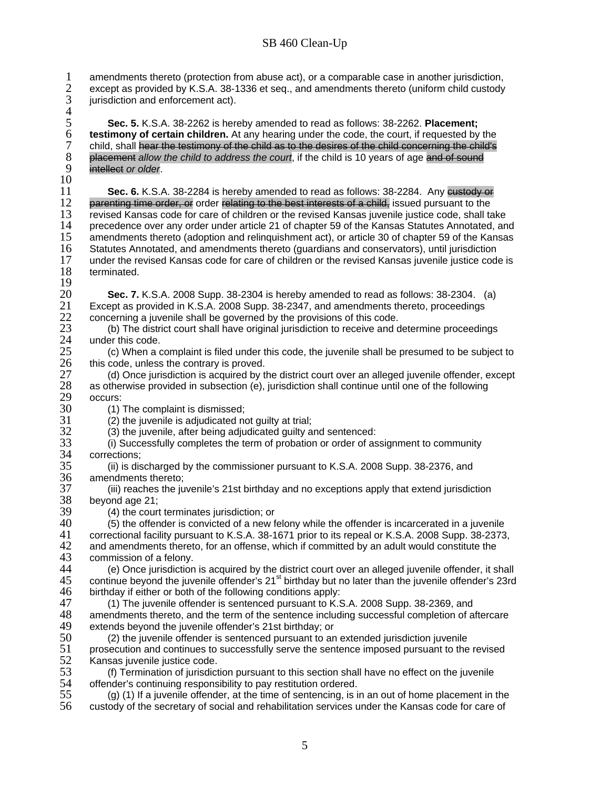1 amendments thereto (protection from abuse act), or a comparable case in another jurisdiction,<br>2 except as provided by K.S.A. 38-1336 et seq., and amendments thereto (uniform child custody 2 except as provided by K.S.A. 38-1336 et seq., and amendments thereto (uniform child custody iurisdiction and enforcement act). jurisdiction and enforcement act).

 $\begin{array}{c} 4 \\ 5 \\ 6 \end{array}$ 5 **Sec. 5.** K.S.A. 38-2262 is hereby amended to read as follows: 38-2262. **Placement;**  6 **testimony of certain children.** At any hearing under the code, the court, if requested by the 7 child, shall hear the testimony of the child as to the desires of the child concerning the child's placement allow the child to address the court, if the child is 10 years of age and of sound 8 placement *allow the child to address the court*, if the child is 10 years of age and of sound 9 intellect or older. 9 intellect *or older*.

 $\begin{array}{c} 10 \\ 11 \end{array}$ **Sec. 6.** K.S.A. 38-2284 is hereby amended to read as follows: 38-2284. Any **custody or** 12 **parenting time order, or** order relating to the best interests of a child, issued pursuant to the 12 parenting time order, or order relating to the best interests of a child, issued pursuant to the<br>13 revised Kansas code for care of children or the revised Kansas juvenile justice code, shall ta 13 revised Kansas code for care of children or the revised Kansas juvenile justice code, shall take 14 precedence over any order under article 21 of chapter 59 of the Kansas Statutes Annotated, and<br>15 amendments thereto (adoption and relinguishment act), or article 30 of chapter 59 of the Kansas 15 amendments thereto (adoption and relinquishment act), or article 30 of chapter 59 of the Kansas<br>16 Statutes Annotated, and amendments thereto (quardians and conservators), until iurisdiction 16 Statutes Annotated, and amendments thereto (guardians and conservators), until jurisdiction 17 under the revised Kansas code for care of children or the revised Kansas juvenile justice code is 18 terminated. terminated.

 $\frac{19}{20}$ **Sec. 7.** K.S.A. 2008 Supp. 38-2304 is hereby amended to read as follows: 38-2304. (a)<br>21 Except as provided in K.S.A. 2008 Supp. 38-2347, and amendments thereto, proceedings 21 Except as provided in K.S.A. 2008 Supp. 38-2347, and amendments thereto, proceedings<br>22 concerning a juvenile shall be governed by the provisions of this code. 22 concerning a juvenile shall be governed by the provisions of this code.<br>23 (b) The district court shall have original jurisdiction to receive and c

23 (b) The district court shall have original jurisdiction to receive and determine proceedings 24 under this code. 24 under this code.<br>25 (c) When a c

25 (c) When a complaint is filed under this code, the juvenile shall be presumed to be subject to  $26$  this code, unless the contrary is proved. 26 this code, unless the contrary is proved.<br>27 (d) Once jurisdiction is acquired by t

27 (d) Once jurisdiction is acquired by the district court over an alleged juvenile offender, except 28 as otherwise provided in subsection (e), jurisdiction shall continue until one of the following 28 as otherwise provided in subsection (e), jurisdiction shall continue until one of the following  $\begin{array}{cc} 29 & \text{occurs:} \\ 30 & (1) \end{array}$ 

 $30$  (1) The complaint is dismissed;<br> $31$  (2) the iuvenile is adjudicated no

 $31$  (2) the juvenile is adjudicated not guilty at trial;<br> $32$  (3) the juvenile, after being adjudicated guilty a

32 (3) the juvenile, after being adjudicated guilty and sentenced:<br>33 (i) Successfully completes the term of probation or order of as 33 (i) Successfully completes the term of probation or order of assignment to community 34 corrections;<br>35 (ii) is dis

35 (ii) is discharged by the commissioner pursuant to K.S.A. 2008 Supp. 38-2376, and 36 amendments thereto;<br>37 (iii) reaches the iu

37 (iii) reaches the juvenile's 21st birthday and no exceptions apply that extend jurisdiction<br>38 beyond age 21;  $38$  beyond age 21;<br> $39$  (4) the court

 $39$  (4) the court terminates jurisdiction; or  $40$  (5) the offender is convicted of a new form 40 (5) the offender is convicted of a new felony while the offender is incarcerated in a juvenile<br>41 correctional facility pursuant to K.S.A. 38-1671 prior to its repeal or K.S.A. 2008 Supp. 38-2373. 41 correctional facility pursuant to K.S.A. 38-1671 prior to its repeal or K.S.A. 2008 Supp. 38-2373,<br>42 and amendments thereto, for an offense, which if committed by an adult would constitute the  $42$  and amendments thereto, for an offense, which if committed by an adult would constitute the  $43$  commission of a felony. 43 commission of a felony.<br>44 (e) Once jurisdiction

44 (e) Once jurisdiction is acquired by the district court over an alleged juvenile offender, it shall  $45$  continue beyond the juvenile offender's  $23rd$ 45 continue beyond the juvenile offender's 21<sup>st</sup> birthday but no later than the juvenile offender's 23rd 46 birthday if either or both of the following conditions apply: 46 birthday if either or both of the following conditions apply:<br>47 (1) The juvenile offender is sentenced pursuant to K.

47 (1) The juvenile offender is sentenced pursuant to K.S.A. 2008 Supp. 38-2369, and 48 amendments thereto, and the term of the sentence including successful completion of aftercare<br>49 extends bevond the iuvenile offender's 21st birthdav: or 49 extends beyond the juvenile offender's 21st birthday; or<br>50 (2) the juvenile offender is sentenced pursuant to are

50 (2) the juvenile offender is sentenced pursuant to an extended jurisdiction juvenile<br>51 prosecution and continues to successfully serve the sentence imposed pursuant to the 51 prosecution and continues to successfully serve the sentence imposed pursuant to the revised<br>52 Kansas juvenile justice code.

52 Kansas juvenile justice code.<br>53 (f) Termination of jurisdict 53 (f) Termination of jurisdiction pursuant to this section shall have no effect on the juvenile<br>54 offender's continuing responsibility to pay restitution ordered. 54 offender's continuing responsibility to pay restitution ordered.<br>55 (g) (1) If a juvenile offender, at the time of sentencing, is in

55 (g) (1) If a juvenile offender, at the time of sentencing, is in an out of home placement in the<br>56 custody of the secretary of social and rehabilitation services under the Kansas code for care of custody of the secretary of social and rehabilitation services under the Kansas code for care of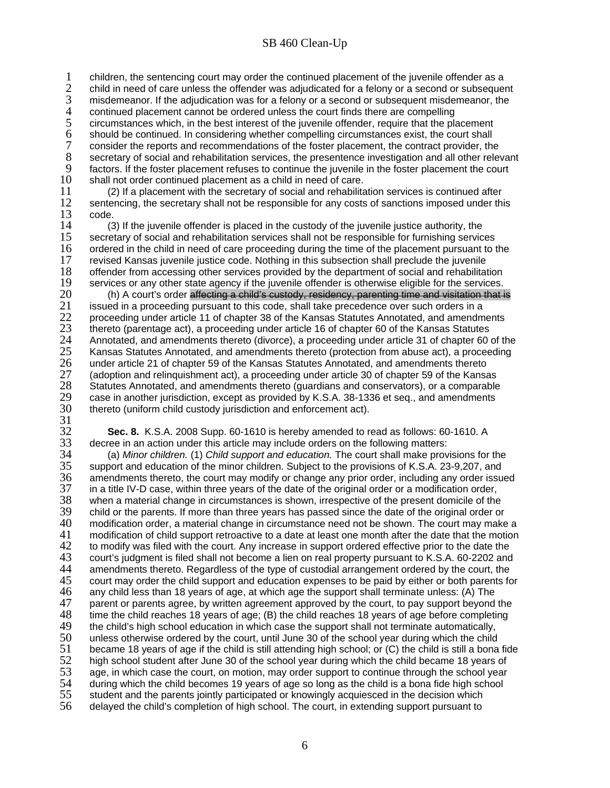1 children, the sentencing court may order the continued placement of the juvenile offender as a<br>2 child in need of care unless the offender was adjudicated for a felony or a second or subseque 2 child in need of care unless the offender was adjudicated for a felony or a second or subsequent<br>3 misdemeanor. If the adjudication was for a felony or a second or subsequent misdemeanor, the 3 misdemeanor. If the adjudication was for a felony or a second or subsequent misdemeanor, the continued placement cannot be ordered unless the court finds there are compelling

4 continued placement cannot be ordered unless the court finds there are compelling<br>5 circumstances which, in the best interest of the juvenile offender, require that the pla

5 circumstances which, in the best interest of the juvenile offender, require that the placement

6 should be continued. In considering whether compelling circumstances exist, the court shall 7 consider the reports and recommendations of the foster placement, the contract provider, the<br>8 secretary of social and rehabilitation services, the presentence investigation and all other relevel 8 secretary of social and rehabilitation services, the presentence investigation and all other relevant<br>9 factors. If the foster placement refuses to continue the iuvenile in the foster placement the court 9 factors. If the foster placement refuses to continue the juvenile in the foster placement the court 10 shall not order continued placement as a child in need of care.

10 shall not order continued placement as a child in need of care.<br>11 (2) If a placement with the secretary of social and rehabilita 11 (2) If a placement with the secretary of social and rehabilitation services is continued after<br>12 sentencing, the secretary shall not be responsible for any costs of sanctions imposed under thi 12 sentencing, the secretary shall not be responsible for any costs of sanctions imposed under this 13 code.

13 code.<br>14 (3 14 (3) If the juvenile offender is placed in the custody of the juvenile justice authority, the 15 secretary of social and rehabilitation services shall not be responsible for furnishing services<br>16 ordered in the child in need of care proceeding during the time of the placement pursuant to t 16 ordered in the child in need of care proceeding during the time of the placement pursuant to the 17 revised Kansas juvenile justice code. Nothing in this subsection shall preclude the juvenile 17 revised Kansas juvenile justice code. Nothing in this subsection shall preclude the juvenile 18 offender from accessing other services provided by the department of social and rehabilitation<br>19 services or any other state agency if the juvenile offender is otherwise eligible for the services. 19 services or any other state agency if the juvenile offender is otherwise eligible for the services.<br>20 (h) A court's order affecting a child's custody, residency, parenting time and visitation that

20 (h) A court's order affecting a child's custody, residency, parenting time and visitation that is  $21$  issued in a proceeding pursuant to this code, shall take precedence over such orders in a 21 issued in a proceeding pursuant to this code, shall take precedence over such orders in a<br>22 proceeding under article 11 of chapter 38 of the Kansas Statutes Annotated, and amendm 22 proceeding under article 11 of chapter 38 of the Kansas Statutes Annotated, and amendments<br>23 thereto (parentage act), a proceeding under article 16 of chapter 60 of the Kansas Statutes 23 thereto (parentage act), a proceeding under article 16 of chapter 60 of the Kansas Statutes<br>24 Annotated, and amendments thereto (divorce), a proceeding under article 31 of chapter 60 24 Annotated, and amendments thereto (divorce), a proceeding under article 31 of chapter 60 of the<br>25 Kansas Statutes Annotated, and amendments thereto (protection from abuse act), a proceeding 25 Kansas Statutes Annotated, and amendments thereto (protection from abuse act), a proceeding<br>26 under article 21 of chapter 59 of the Kansas Statutes Annotated, and amendments thereto 26 under article 21 of chapter 59 of the Kansas Statutes Annotated, and amendments thereto 27 (adoption and relinquishment act), a proceeding under article 30 of chapter 59 of the Kansas 28 Statutes Annotated, and amendments thereto (guardians and conservators), or a comparable<br>29 case in another jurisdiction, except as provided by K.S.A. 38-1336 et seq., and amendments 29 case in another jurisdiction, except as provided by K.S.A. 38-1336 et seq., and amendments 30 thereto (uniform child custody jurisdiction and enforcement act). thereto (uniform child custody jurisdiction and enforcement act).

 $\frac{31}{32}$ 

**Sec. 8.** K.S.A. 2008 Supp. 60-1610 is hereby amended to read as follows: 60-1610. A<br>33 decree in an action under this article may include orders on the following matters: 33 decree in an action under this article may include orders on the following matters:<br>34 (a) Minor children. (1) Child support and education. The court shall make prov

34 (a) *Minor children.* (1) *Child support and education.* The court shall make provisions for the 35 support and education of the minor children. Subject to the provisions of K.S.A. 23-9,207, and 36 amendments thereto, the court may modify or change any prior order, including any order issued<br>37 in a title IV-D case, within three vears of the date of the original order or a modification order. 37 in a title IV-D case, within three years of the date of the original order or a modification order, 38 when a material change in circumstances is shown, irrespective of the present domicile of the 38 when a material change in circumstances is shown, irrespective of the present domicile of the 39 child or the parents. If more than three years has passed since the date of the original order or 40 modification order, a material change in circumstance need not be shown. The court may make a<br>41 modification of child support retroactive to a date at least one month after the date that the motion 41 modification of child support retroactive to a date at least one month after the date that the motion<br>42 to modify was filed with the court. Any increase in support ordered effective prior to the date the 42 to modify was filed with the court. Any increase in support ordered effective prior to the date the 43 court's judgment is filed shall not become a lien on real property pursuant to K.S.A. 60-2202 and 43 court's judgment is filed shall not become a lien on real property pursuant to K.S.A. 60-2202 and<br>44 amendments thereto. Regardless of the type of custodial arrangement ordered by the court, the 44 amendments thereto. Regardless of the type of custodial arrangement ordered by the court, the<br>45 court may order the child support and education expenses to be paid by either or both parents fo 45 court may order the child support and education expenses to be paid by either or both parents for<br>46 any child less than 18 years of age, at which age the support shall terminate unless: (A) The 46 any child less than 18 years of age, at which age the support shall terminate unless: (A) The 47 parent or parents agree, by written agreement approved by the court, to pay support beyond the 48 time the child reaches 18 years of age: (B) the child reaches 18 years of age before completing 48 time the child reaches 18 years of age; (B) the child reaches 18 years of age before completing<br>49 the child's high school education in which case the support shall not terminate automatically. 49 the child's high school education in which case the support shall not terminate automatically,<br>50 unless otherwise ordered by the court, until June 30 of the school year during which the child 50 unless otherwise ordered by the court, until June 30 of the school year during which the child<br>51 became 18 years of age if the child is still attending high school; or (C) the child is still a bona 51 became 18 years of age if the child is still attending high school; or (C) the child is still a bona fide<br>52 high school student after June 30 of the school year during which the child became 18 years of 52 high school student after June 30 of the school year during which the child became 18 years of<br>53 age, in which case the court, on motion, may order support to continue through the school year 53 age, in which case the court, on motion, may order support to continue through the school year<br>54 during which the child becomes 19 years of age so long as the child is a bona fide high school 54 during which the child becomes 19 years of age so long as the child is a bona fide high school<br>55 student and the parents jointly participated or knowingly acquiesced in the decision which 55 student and the parents jointly participated or knowingly acquiesced in the decision which<br>56 delayed the child's completion of high school. The court, in extending support pursuant to delayed the child's completion of high school. The court, in extending support pursuant to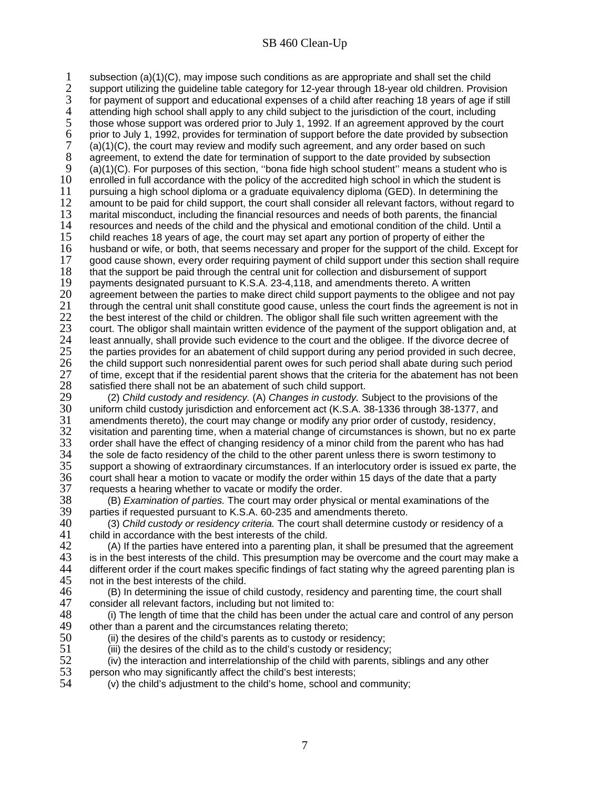1 subsection (a)(1)(C), may impose such conditions as are appropriate and shall set the child<br>2 support utilizing the quideline table category for 12-year through 18-year old children. Provis 2 support utilizing the guideline table category for 12-year through 18-year old children. Provision 3 for payment of support and educational expenses of a child after reaching 18 years of age if still<br>4 attending high school shall apply to any child subject to the iurisdiction of the court, including 4 attending high school shall apply to any child subject to the jurisdiction of the court, including<br>5 those whose support was ordered prior to July 1, 1992. If an agreement approved by the cou 5 those whose support was ordered prior to July 1, 1992. If an agreement approved by the court form prior to July 1, 1992, provides for termination of support before the date provided by subsection 6 prior to July 1, 1992, provides for termination of support before the date provided by subsection  $(7 - (a)(1))$ . The court may review and modify such agreement, and any order based on such  $7$  (a)(1)(C), the court may review and modify such agreement, and any order based on such agreement, to extend the date for termination of support to the date provided by subsection 8 agreement, to extend the date for termination of support to the date provided by subsection<br>9 (a)(1)(C). For purposes of this section. "bona fide high school student" means a student who 9 (a)(1)(C). For purposes of this section, "bona fide high school student" means a student who is  $10$  enrolled in full accordance with the policy of the accredited high school in which the student is 10 enrolled in full accordance with the policy of the accredited high school in which the student is<br>11 pursuing a high school diploma or a graduate equivalency diploma (GED). In determining the 11 pursuing a high school diploma or a graduate equivalency diploma (GED). In determining the 12 amount to be paid for child support, the court shall consider all relevant factors, without regard 12 amount to be paid for child support, the court shall consider all relevant factors, without regard to 13 marital misconduct, including the financial resources and needs of both parents, the financial 13 marital misconduct, including the financial resources and needs of both parents, the financial<br>14 resources and needs of the child and the physical and emotional condition of the child. Until a 14 resources and needs of the child and the physical and emotional condition of the child. Until a<br>15 child reaches 18 vears of age, the court may set apart any portion of property of either the 15 child reaches 18 years of age, the court may set apart any portion of property of either the<br>16 busband or wife, or both, that seems necessary and proper for the support of the child. Exc 16 husband or wife, or both, that seems necessary and proper for the support of the child. Except for 17 good cause shown, every order requiring payment of child support under this section shall require<br>18 that the support be paid through the central unit for collection and disbursement of support 18 that the support be paid through the central unit for collection and disbursement of support 19 payments designated pursuant to K.S.A. 23-4,118, and amendments thereto. A written 19 payments designated pursuant to K.S.A. 23-4,118, and amendments thereto. A written<br>20 agreement between the parties to make direct child support payments to the obligee an 20 agreement between the parties to make direct child support payments to the obligee and not pay<br>21 through the central unit shall constitute good cause, unless the court finds the agreement is not in 21 through the central unit shall constitute good cause, unless the court finds the agreement is not in<br>22 the best interest of the child or children. The obligor shall file such written agreement with the 22 the best interest of the child or children. The obligor shall file such written agreement with the<br>23 court. The obligor shall maintain written evidence of the payment of the support obligation and 23 court. The obligor shall maintain written evidence of the payment of the support obligation and, at <br>24 least annually, shall provide such evidence to the court and the obligee. If the divorce decree of 24 least annually, shall provide such evidence to the court and the obligee. If the divorce decree of 25 the parties provides for an abatement of child support during any period provided in such decree 25 the parties provides for an abatement of child support during any period provided in such decree,<br>26 the child support such nonresidential parent owes for such period shall abate during such period 26 the child support such nonresidential parent owes for such period shall abate during such period<br>27 of time, except that if the residential parent shows that the criteria for the abatement has not been 27 of time, except that if the residential parent shows that the criteria for the abatement has not been<br>28 satisfied there shall not be an abatement of such child support.

28 satisfied there shall not be an abatement of such child support.<br>29 (2) Child custody and residency. (A) Changes in custody. 29 (2) *Child custody and residency.* (A) *Changes in custody.* Subject to the provisions of the 30 uniform child custody jurisdiction and enforcement act (K.S.A. 38-1336 through 38-1377, and 31 amendments thereto), the court may change or modify any prior order of custody, residency, 32 visitation and parenting time, when a material change of circumstances is shown, but no ex p 32 visitation and parenting time, when a material change of circumstances is shown, but no ex parte<br>33 order shall have the effect of changing residency of a minor child from the parent who has had 33 order shall have the effect of changing residency of a minor child from the parent who has had<br>34 the sole de facto residency of the child to the other parent unless there is sworn testimony to 34 the sole de facto residency of the child to the other parent unless there is sworn testimony to 35 support a showing of extraordinary circumstances. If an interlocutory order is issued ex parte. 35 support a showing of extraordinary circumstances. If an interlocutory order is issued ex parte, the 36 court shall hear a motion to vacate or modify the order within 15 days of the date that a party 36 court shall hear a motion to vacate or modify the order within 15 days of the date that a party 37 requests a hearing whether to vacate or modify the order. 37 requests a hearing whether to vacate or modify the order.<br>38 (B) Examination of parties. The court may order physic

38 (B) *Examination of parties.* The court may order physical or mental examinations of the 39 parties if requested pursuant to K.S.A. 60-235 and amendments thereto.<br>40 (3) Child custody or residency criteria. The court shall determine cust

40 (3) *Child custody or residency criteria.* The court shall determine custody or residency of a 41 child in accordance with the best interests of the child.<br>42 (A) If the parties have entered into a parenting plan

42 (A) If the parties have entered into a parenting plan, it shall be presumed that the agreement 43 is in the best interests of the child. This presumption may be overcome and the court may make a 43 is in the best interests of the child. This presumption may be overcome and the court may make a<br>44 different order if the court makes specific findings of fact stating why the agreed parenting plan is 44 different order if the court makes specific findings of fact stating why the agreed parenting plan is 45 not in the best interests of the child. 45 not in the best interests of the child.<br>46 (B) In determining the issue of c

46 (B) In determining the issue of child custody, residency and parenting time, the court shall 47 consider all relevant factors, including but not limited to: 47 consider all relevant factors, including but not limited to:<br>48 (i) The length of time that the child has been under the

48 (i) The length of time that the child has been under the actual care and control of any person<br>49 other than a parent and the circumstances relating thereto: 49 other than a parent and the circumstances relating thereto;<br>50 (ii) the desires of the child's parents as to custody or res

- 50 (ii) the desires of the child's parents as to custody or residency;<br>51 (iii) the desires of the child as to the child's custody or residency
- 51 (iii) the desires of the child as to the child's custody or residency;<br>52 (iv) the interaction and interrelationship of the child with parents, s
- 52 (iv) the interaction and interrelationship of the child with parents, siblings and any other<br>53 person who may significantly affect the child's best interests;
- 53 person who may significantly affect the child's best interests;<br>54 (v) the child's adiustment to the child's home, school and
	- (v) the child's adjustment to the child's home, school and community;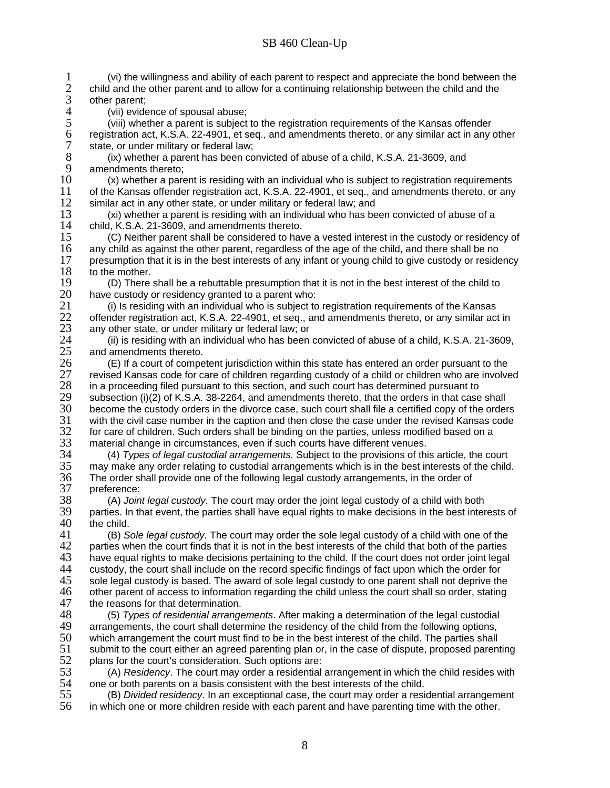1 (vi) the willingness and ability of each parent to respect and appreciate the bond between the 2 child and the other parent and to allow for a continuing relationship between the child and the<br>3 other parent; 3 other parent;<br>4 (vii) evide

4 (vii) evidence of spousal abuse;<br>5 (viii) whether a parent is subject<br>6 registration act, K.S.A. 22-4901, et s (viii) whether a parent is subject to the registration requirements of the Kansas offender 6 registration act, K.S.A. 22-4901, et seq., and amendments thereto, or any similar act in any other 7 state, or under military or federal law;<br>8 (ix) whether a parent has been co

8 (ix) whether a parent has been convicted of abuse of a child, K.S.A. 21-3609, and 9 amendments thereto;<br>10  $(x)$  whether a pare

10 (x) whether a parent is residing with an individual who is subject to registration requirements<br>11 of the Kansas offender registration act, K.S.A. 22-4901, et seg., and amendments thereto, or any 11 of the Kansas offender registration act, K.S.A. 22-4901, et seq., and amendments thereto, or any 12 similar act in any other state, or under military or federal law: and 12 similar act in any other state, or under military or federal law; and<br>13 (xi) whether a parent is residing with an individual who has be

13 (xi) whether a parent is residing with an individual who has been convicted of abuse of a<br>14 child, K.S.A. 21-3609, and amendments thereto. 14 child, K.S.A. 21-3609, and amendments thereto.<br>15 (C) Neither parent shall be considered to have

15 (C) Neither parent shall be considered to have a vested interest in the custody or residency of 16 any child as against the other parent, regardless of the age of the child, and there shall be no any child as against the other parent, regardless of the age of the child, and there shall be no 17 presumption that it is in the best interests of any infant or young child to give custody or residency 18 to the mother. 18 to the mother.<br>19 (D) There

19 (D) There shall be a rebuttable presumption that it is not in the best interest of the child to  $20$  have custody or residency granted to a parent who: 20 have custody or residency granted to a parent who:<br>21  $\qquad$  (i) Is residing with an individual who is subject to

21 (i) Is residing with an individual who is subject to registration requirements of the Kansas<br>22 offender registration act, K.S.A. 22-4901, et seg., and amendments thereto, or any similar act 22 offender registration act, K.S.A. 22-4901, et seq., and amendments thereto, or any similar act in<br>23 any other state, or under military or federal law; or 23 any other state, or under military or federal law; or

24 (ii) is residing with an individual who has been convicted of abuse of a child, K.S.A. 21-3609, 25 and amendments thereto.<br>26  $\left( E \right)$  If a court of compe

26 (E) If a court of competent jurisdiction within this state has entered an order pursuant to the 27 revised Kansas code for care of children regarding custody of a child or children who are involved  $28$  in a proceeding filed pursuant to this section, and such court has determined pursuant to 28 in a proceeding filed pursuant to this section, and such court has determined pursuant to 29 subsection (i)(2) of K.S.A. 38-2264, and amendments thereto, that the orders in that case 29 subsection (i)(2) of K.S.A. 38-2264, and amendments thereto, that the orders in that case shall  $30$  become the custody orders in the divorce case, such court shall file a certified copy of the order 30 become the custody orders in the divorce case, such court shall file a certified copy of the orders 31 with the civil case number in the caption and then close the case under the revised Kansas code 31 with the civil case number in the caption and then close the case under the revised Kansas code<br>32 for care of children. Such orders shall be binding on the parties, unless modified based on a 32 for care of children. Such orders shall be binding on the parties, unless modified based on a<br>33 material change in circumstances, even if such courts have different venues. 33 material change in circumstances, even if such courts have different venues.<br>34 (4) Types of legal custodial arrangements. Subject to the provisions of thi

(4) *Types of legal custodial arrangements.* Subject to the provisions of this article, the court may make any order relating to custodial arrangements which is in the best interests of the child. The order shall provide one of the following legal custody arrangements, in the order of 37 preference:<br>38 (A) Join

38 (A) *Joint legal custody.* The court may order the joint legal custody of a child with both 39 parties. In that event, the parties shall have equal rights to make decisions in the best interests of 40 the child.

 $\begin{array}{cc} 40 & \text{the child.} \\ 41 & \text{(B) S} \end{array}$ 41 (B) *Sole legal custody.* The court may order the sole legal custody of a child with one of the 42 parties when the court finds that it is not in the best interests of the child that both of the parties<br>43 have equal rights to make decisions pertaining to the child. If the court does not order joint legal 43 have equal rights to make decisions pertaining to the child. If the court does not order joint legal<br>44 custody, the court shall include on the record specific findings of fact upon which the order for 44 custody, the court shall include on the record specific findings of fact upon which the order for<br>45 sole legal custody is based. The award of sole legal custody to one parent shall not deprive the 45 sole legal custody is based. The award of sole legal custody to one parent shall not deprive the 46 other parent of access to information regarding the child unless the court shall so order, stating 46 other parent of access to information regarding the child unless the court shall so order, stating<br>47 the reasons for that determination. 47 the reasons for that determination.<br>48 (5) Types of residential arrange

48 (5) *Types of residential arrangements*. After making a determination of the legal custodial 49 arrangements, the court shall determine the residency of the child from the following options,<br>50 which arrangement the court must find to be in the best interest of the child. The parties shall which arrangement the court must find to be in the best interest of the child. The parties shall 51 submit to the court either an agreed parenting plan or, in the case of dispute, proposed parenting<br>52 plans for the court's consideration. Such options are:

52 plans for the court's consideration. Such options are:<br>53 (A) Residency. The court may order a residential 53 (A) *Residency*. The court may order a residential arrangement in which the child resides with 54 one or both parents on a basis consistent with the best interests of the child.<br>55 (B) *Divided residency*. In an exceptional case, the court may order a resi

55 (B) *Divided residency*. In an exceptional case, the court may order a residential arrangement in which one or more children reside with each parent and have parenting time with the other.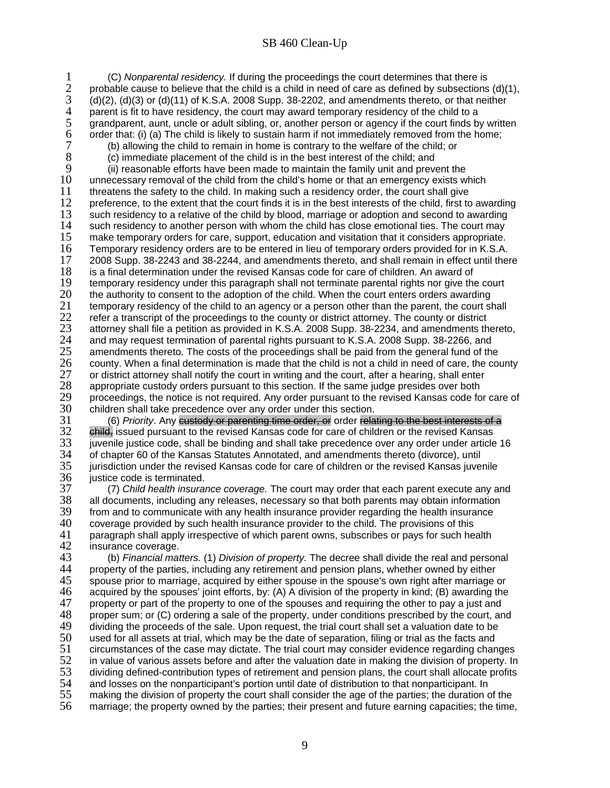1 (C) *Nonparental residency.* If during the proceedings the court determines that there is 2 probable cause to believe that the child is a child in need of care as defined by subsections (d)(1),  $\frac{3}{10}$  (d)(2), (d)(3) or (d)(11) of K.S.A. 2008 Supp. 38-2202, and amendments thereto, or that neither  $3$  (d)(2), (d)(3) or (d)(11) of K.S.A. 2008 Supp. 38-2202, and amendments thereto, or that neither parent is fit to have residency, the court may award temporary residency of the child to a 4 parent is fit to have residency, the court may award temporary residency of the child to a<br>5 grandparent, aunt, uncle or adult sibling, or, another person or agency if the court finds b<br>6 order that: (i) (a) The child is grandparent, aunt, uncle or adult sibling, or, another person or agency if the court finds by written 6 order that: (i) (a) The child is likely to sustain harm if not immediately removed from the home;<br>  $\frac{7}{100}$  (b) allowing the child to remain in home is contrary to the welfare of the child; or

- 
- 
- 7 (b) allowing the child to remain in home is contrary to the welfare of the child; or (c) immediate placement of the child is in the best interest of the child; and 8 (c) immediate placement of the child is in the best interest of the child; and<br>9 (ii) reasonable efforts have been made to maintain the family unit and preve

 $9$  (ii) reasonable efforts have been made to maintain the family unit and prevent the 10 unnecessary removal of the child from the child's home or that an emergency exists w 10 unnecessary removal of the child from the child's home or that an emergency exists which<br>11 threatens the safety to the child. In making such a residency order, the court shall give 11 threatens the safety to the child. In making such a residency order, the court shall give 12 preference, to the extent that the court finds it is in the best interests of the child, first to 12 preference, to the extent that the court finds it is in the best interests of the child, first to awarding<br>13 such residency to a relative of the child by blood, marriage or adoption and second to awarding 13 such residency to a relative of the child by blood, marriage or adoption and second to awarding<br>14 such residency to another person with whom the child has close emotional ties. The court may 14 such residency to another person with whom the child has close emotional ties. The court may<br>15 make temporary orders for care, support, education and visitation that it considers appropriate. 15 make temporary orders for care, support, education and visitation that it considers appropriate.<br>16 Temporary residency orders are to be entered in lieu of temporary orders provided for in K.S.A. 16 Temporary residency orders are to be entered in lieu of temporary orders provided for in K.S.A. 17 2008 Supp. 38-2243 and 38-2244, and amendments thereto, and shall remain in effect until there<br>18 is a final determination under the revised Kansas code for care of children. An award of 18 is a final determination under the revised Kansas code for care of children. An award of 19 temporary residency under this paragraph shall not terminate parental rights nor give the 19 temporary residency under this paragraph shall not terminate parental rights nor give the court<br>20 the authority to consent to the adoption of the child. When the court enters orders awarding 20 the authority to consent to the adoption of the child. When the court enters orders awarding<br>21 temporary residency of the child to an agency or a person other than the parent, the court sh 21 temporary residency of the child to an agency or a person other than the parent, the court shall<br>22 refer a transcript of the proceedings to the county or district attorney. The county or district 22 refer a transcript of the proceedings to the county or district attorney. The county or district<br>23 attorney shall file a petition as provided in K.S.A. 2008 Supp. 38-2234, and amendments th 23 attorney shall file a petition as provided in K.S.A. 2008 Supp. 38-2234, and amendments thereto,<br>24 and may request termination of parental rights pursuant to K.S.A. 2008 Supp. 38-2266, and 24 and may request termination of parental rights pursuant to K.S.A. 2008 Supp. 38-2266, and<br>25 amendments thereto. The costs of the proceedings shall be paid from the general fund of the 25 amendments thereto. The costs of the proceedings shall be paid from the general fund of the 26 county. When a final determination is made that the child is not a child in need of care, the county. 26 county. When a final determination is made that the child is not a child in need of care, the county<br>27 or district attorney shall notify the court in writing and the court, after a hearing, shall enter 27 or district attorney shall notify the court in writing and the court, after a hearing, shall enter 28 appropriate custody orders pursuant to this section. If the same judge presides over both 28 appropriate custody orders pursuant to this section. If the same judge presides over both 29 proceedings, the notice is not required. Any order pursuant to the revised Kansas code fo 29 proceedings, the notice is not required. Any order pursuant to the revised Kansas code for care of 30 children shall take precedence over any order under this section. 30 children shall take precedence over any order under this section.<br>31 (6) *Priority*. Any eustody or parenting time order, or order rela

31 (6) *Priority*. Any eustody or parenting time order, or order relating to the best interests of a<br>32 child, issued pursuant to the revised Kansas code for care of children or the revised Kansas  $32$  child, issued pursuant to the revised Kansas code for care of children or the revised Kansas<br> $33$  juvenile justice code, shall be binding and shall take precedence over any order under article 33 juvenile justice code, shall be binding and shall take precedence over any order under article 16<br>34 of chapter 60 of the Kansas Statutes Annotated, and amendments thereto (divorce), until 34 of chapter 60 of the Kansas Statutes Annotated, and amendments thereto (divorce), until<br>35 jurisdiction under the revised Kansas code for care of children or the revised Kansas juve 35 jurisdiction under the revised Kansas code for care of children or the revised Kansas juvenile<br>36 iustice code is terminated. 36 justice code is terminated.<br>37 (7) Child health insural

37 (7) *Child health insurance coverage.* The court may order that each parent execute any and 38 all documents, including any releases, necessary so that both parents may obtain information 39 from and to communicate with any health insurance provider regarding the health insurance<br>40 coverage provided by such health insurance provider to the child. The provisions of this 40 coverage provided by such health insurance provider to the child. The provisions of this 41 paragraph shall apply irrespective of which parent owns, subscribes or pays for such he 41 paragraph shall apply irrespective of which parent owns, subscribes or pays for such health 42 insurance coverage.

42 insurance coverage.<br>43 (b) Financial mai 43 (b) *Financial matters.* (1) *Division of property.* The decree shall divide the real and personal 14 property of the parties, including any retirement and pension plans, whether owned by either<br>45 spouse prior to marriage, acquired by either spouse in the spouse's own right after marriage 45 spouse prior to marriage, acquired by either spouse in the spouse's own right after marriage or<br>46 acquired by the spouses' joint efforts, by: (A) A division of the property in kind; (B) awarding the 46 acquired by the spouses' joint efforts, by: (A) A division of the property in kind; (B) awarding the 47 property or part of the property to one of the spouses and requiring the other to pay a just and  $48$  proper sum: or  $(C)$  ordering a sale of the property, under conditions prescribed by the court, and 48 proper sum; or (C) ordering a sale of the property, under conditions prescribed by the court, and<br>49 dividing the proceeds of the sale. Upon request, the trial court shall set a valuation date to be 49 dividing the proceeds of the sale. Upon request, the trial court shall set a valuation date to be<br>50 used for all assets at trial, which may be the date of separation, filing or trial as the facts and used for all assets at trial, which may be the date of separation, filing or trial as the facts and 51 circumstances of the case may dictate. The trial court may consider evidence regarding changes<br>52 in value of various assets before and after the valuation date in making the division of property. In 52 in value of various assets before and after the valuation date in making the division of property. In<br>53 dividing defined-contribution types of retirement and pension plans, the court shall allocate profits 53 dividing defined-contribution types of retirement and pension plans, the court shall allocate profits 54 and losses on the nonparticipant's portion until date of distribution to that nonparticipant. In 54 and losses on the nonparticipant's portion until date of distribution to that nonparticipant. In<br>55 making the division of property the court shall consider the age of the parties; the duration of 55 making the division of property the court shall consider the age of the parties; the duration of the 56 marriage; the property owned by the parties; their present and future earning capacities; the time marriage; the property owned by the parties; their present and future earning capacities; the time,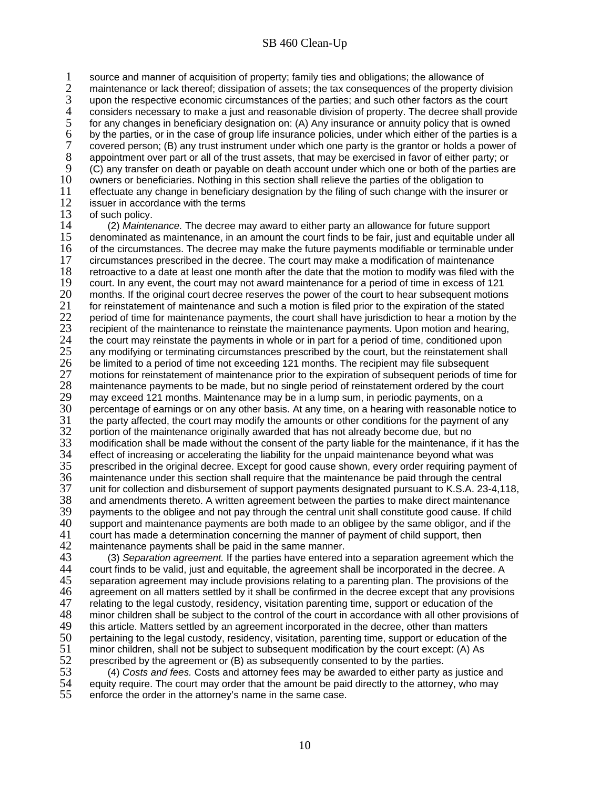1 source and manner of acquisition of property; family ties and obligations; the allowance of maintenance or lack thereof; dissipation of assets; the tax consequences of the property d 2 maintenance or lack thereof; dissipation of assets; the tax consequences of the property division<br>3 upon the respective economic circumstances of the parties: and such other factors as the court 3 upon the respective economic circumstances of the parties; and such other factors as the court<br>4 considers necessary to make a just and reasonable division of property. The decree shall provid 4 considers necessary to make a just and reasonable division of property. The decree shall provide<br>5 for any changes in beneficiary designation on: (A) Any insurance or annuity policy that is owned 5 for any changes in beneficiary designation on: (A) Any insurance or annuity policy that is owned<br>6 by the parties, or in the case of group life insurance policies, under which either of the parties is a 6 by the parties, or in the case of group life insurance policies, under which either of the parties is a<br>6 covered person: (B) any trust instrument under which one party is the grantor or holds a power of 7 covered person; (B) any trust instrument under which one party is the grantor or holds a power of 3 apower of<br>8 appointment over part or all of the trust assets, that may be exercised in favor of either party; or appointment over part or all of the trust assets, that may be exercised in favor of either party; or  $9$  (C) any transfer on death or payable on death account under which one or both of the parties are  $10$  owners or beneficiaries. Nothing in this section shall relieve the parties of the obligation to 10 owners or beneficiaries. Nothing in this section shall relieve the parties of the obligation to 11 effectuate any change in beneficiary designation by the filing of such change with the insur 11 effectuate any change in beneficiary designation by the filing of such change with the insurer or <br>12 issuer in accordance with the terms 12 issuer in accordance with the terms<br>13 of such policy.

13 of such policy.<br>14 (2) Mainter

14 (2) *Maintenance.* The decree may award to either party an allowance for future support 15 denominated as maintenance, in an amount the court finds to be fair, just and equitable under all 16 of the circumstances. The decree may make the future payments modifiable or terminable under of the circumstances. The decree may make the future payments modifiable or terminable under 17 circumstances prescribed in the decree. The court may make a modification of maintenance<br>18 retroactive to a date at least one month after the date that the motion to modify was filed with 18 retroactive to a date at least one month after the date that the motion to modify was filed with the 19 court. In any event, the court may not award maintenance for a period of time in excess of 121 19 court. In any event, the court may not award maintenance for a period of time in excess of 121<br>20 months. If the original court decree reserves the power of the court to hear subsequent motions 20 months. If the original court decree reserves the power of the court to hear subsequent motions<br>21 for reinstatement of maintenance and such a motion is filed prior to the expiration of the stated 21 for reinstatement of maintenance and such a motion is filed prior to the expiration of the stated<br>22 period of time for maintenance payments, the court shall have jurisdiction to hear a motion by the 22 period of time for maintenance payments, the court shall have jurisdiction to hear a motion by the  $23$  recipient of the maintenance to reinstate the maintenance payments. Upon motion and hearing, 23 recipient of the maintenance to reinstate the maintenance payments. Upon motion and hearing,<br>24 the court may reinstate the payments in whole or in part for a period of time, conditioned upon 24 the court may reinstate the payments in whole or in part for a period of time, conditioned upon<br>25 any modifying or terminating circumstances prescribed by the court, but the reinstatement shall 25 any modifying or terminating circumstances prescribed by the court, but the reinstatement shall<br>26 be limited to a period of time not exceeding 121 months. The recipient may file subsequent 26 be limited to a period of time not exceeding 121 months. The recipient may file subsequent 27 motions for reinstatement of maintenance prior to the expiration of subsequent periods of tir 27 motions for reinstatement of maintenance prior to the expiration of subsequent periods of time for <br>28 maintenance payments to be made, but no single period of reinstatement ordered by the court 28 maintenance payments to be made, but no single period of reinstatement ordered by the court 29 may exceed 121 months. Maintenance may be in a lump sum, in periodic payments, on a 29 may exceed 121 months. Maintenance may be in a lump sum, in periodic payments, on a<br>30 percentage of earnings or on any other basis. At any time, on a hearing with reasonable no 30 percentage of earnings or on any other basis. At any time, on a hearing with reasonable notice to 31 the party affected, the court may modify the amounts or other conditions for the payment of any 31 the party affected, the court may modify the amounts or other conditions for the payment of any<br>32 portion of the maintenance originally awarded that has not already become due, but no 32 portion of the maintenance originally awarded that has not already become due, but no<br>33 modification shall be made without the consent of the party liable for the maintenance, i 33 modification shall be made without the consent of the party liable for the maintenance, if it has the 34 effect of increasing or accelerating the liability for the unpaid maintenance beyond what was 34 effect of increasing or accelerating the liability for the unpaid maintenance beyond what was<br>35 prescribed in the original decree. Except for good cause shown, every order requiring payme 35 prescribed in the original decree. Except for good cause shown, every order requiring payment of 36 maintenance under this section shall require that the maintenance under this section shall require that the maintenance 36 maintenance under this section shall require that the maintenance be paid through the central<br>37 unit for collection and disbursement of support payments designated pursuant to K.S.A. 23-4.1 37 unit for collection and disbursement of support payments designated pursuant to K.S.A. 23-4,118,<br>38 and amendments thereto. A written agreement between the parties to make direct maintenance 38 and amendments thereto. A written agreement between the parties to make direct maintenance 39 payments to the obligee and not pay through the central unit shall constitute good cause. If child 40 support and maintenance payments are both made to an obligee by the same obligor, and if the 41 court has made a determination concerning the manner of payment of child support, then 41 court has made a determination concerning the manner of payment of child support, then<br>42 maintenance payments shall be paid in the same manner.

42 maintenance payments shall be paid in the same manner.<br>43 (3) Separation agreement. If the parties have entered i 43 (3) *Separation agreement.* If the parties have entered into a separation agreement which the 44 court finds to be valid, just and equitable, the agreement shall be incorporated in the decree. A<br>45 separation agreement may include provisions relating to a parenting plan. The provisions of the 45 separation agreement may include provisions relating to a parenting plan. The provisions of the<br>46 agreement on all matters settled by it shall be confirmed in the decree except that any provisions 46 agreement on all matters settled by it shall be confirmed in the decree except that any provisions<br>47 relating to the legal custody, residency, visitation parenting time, support or education of the 47 relating to the legal custody, residency, visitation parenting time, support or education of the<br>48 minor children shall be subject to the control of the court in accordance with all other provision 48 minor children shall be subject to the control of the court in accordance with all other provisions of 49 this article. Matters settled by an agreement incorporated in the decree, other than matters 49 this article. Matters settled by an agreement incorporated in the decree, other than matters<br>50 pertaining to the legal custody, residency, visitation, parenting time, support or education of 50 pertaining to the legal custody, residency, visitation, parenting time, support or education of the 51 minor children, shall not be subject to subsequent modification by the court except: (A) As 51 minor children, shall not be subject to subsequent modification by the court except: (A) As  $52$  prescribed by the agreement or (B) as subsequently consented to by the parties. 52 prescribed by the agreement or (B) as subsequently consented to by the parties.<br>53 (4) Costs and fees. Costs and attorney fees may be awarded to either party and

53 (4) *Costs and fees.* Costs and attorney fees may be awarded to either party as justice and 54 equity require. The court may order that the amount be paid directly to the attorney, who may <br>55 enforce the order in the attorney's name in the same case. enforce the order in the attorney's name in the same case.